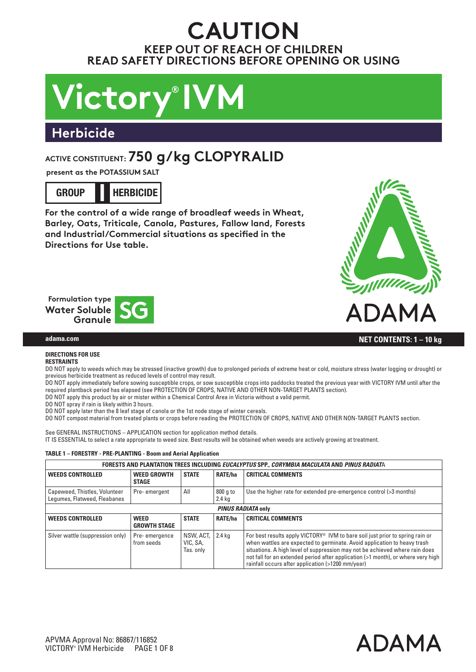# **CAUTION KEEP OUT OF REACH OF CHILDREN READ SAFETY DIRECTIONS BEFORE OPENING OR USING**

# **Victory® IVM**

# **Herbicide**

# **ACTIVE CONSTITUENT: 750 g/kg CLOPYRALID**

**present as the POTASSIUM SALT**

**GROUP HERBICIDE I**

**For the control of a wide range of broadleaf weeds in Wheat, Barley, Oats, Triticale, Canola, Pastures, Fallow land, Forests and Industrial/Commercial situations as specified in the Directions for Use table.**





# **adama.com CONTENTS: 1 – 10 kg**

# **DIRECTIONS FOR USE**

# **RESTRAINTS**

DO NOT apply to weeds which may be stressed (inactive growth) due to prolonged periods of extreme heat or cold, moisture stress (water logging or drought) or previous herbicide treatment as reduced levels of control may result.

DO NOT apply immediately before sowing susceptible crops, or sow susceptible crops into paddocks treated the previous year with VICTORY IVM until after the required plantback period has elapsed (see PROTECTION OF CROPS, NATIVE AND OTHER NON-TARGET PLANTS section). DO NOT apply this product by air or mister within a Chemical Control Area in Victoria without a valid permit.

DO NOT spray if rain is likely within 3 hours.

DO NOT apply later than the 8 leaf stage of canola or the 1st node stage of winter cereals. DO NOT compost material from treated plants or crops before reading the PROTECTION OF CROPS, NATIVE AND OTHER NON-TARGET PLANTS section.

See GENERAL INSTRUCTIONS – APPLICATION section for application method details.

IT IS ESSENTIAL to select a rate appropriate to weed size. Best results will be obtained when weeds are actively growing at treatment.

# **TABLE 1 – FORESTRY - PRE-PLANTING - Boom and Aerial Application**

|                                                               | FORESTS AND PLANTATION TREES INCLUDING EUCALYPTUS SPP., CORYMBIA MACULATA AND PINUS RADIATA |                                    |                    |                                                                                                                                                                                                                                                                                                                                                                                               |  |  |
|---------------------------------------------------------------|---------------------------------------------------------------------------------------------|------------------------------------|--------------------|-----------------------------------------------------------------------------------------------------------------------------------------------------------------------------------------------------------------------------------------------------------------------------------------------------------------------------------------------------------------------------------------------|--|--|
| <b>WEEDS CONTROLLED</b>                                       | <b>WEED GROWTH</b><br><b>STAGE</b>                                                          | <b>STATE</b>                       | <b>RATE/ha</b>     | <b>CRITICAL COMMENTS</b>                                                                                                                                                                                                                                                                                                                                                                      |  |  |
| Capeweed, Thistles, Volunteer<br>Lequmes, Flatweed, Fleabanes | Pre-emergent                                                                                | All                                | 800 g to<br>2.4 kg | Use the higher rate for extended pre-emergence control (>3 months)                                                                                                                                                                                                                                                                                                                            |  |  |
| PINUS RADIATA only                                            |                                                                                             |                                    |                    |                                                                                                                                                                                                                                                                                                                                                                                               |  |  |
| <b>WEEDS CONTROLLED</b>                                       | <b>WEED</b><br><b>GROWTH STAGE</b>                                                          | <b>STATE</b>                       | RATE/ha            | <b>CRITICAL COMMENTS</b>                                                                                                                                                                                                                                                                                                                                                                      |  |  |
| Silver wattle (suppression only)                              | Pre-emergence<br>from seeds                                                                 | NSW, ACT,<br>VIC, SA,<br>Tas. only | $\vert$ 2.4 kg     | For best results apply VICTORY <sup>®</sup> IVM to bare soil just prior to spring rain or<br>when wattles are expected to germinate. Avoid application to heavy trash<br>situations. A high level of suppression may not be achieved where rain does<br>not fall for an extended period after application (>1 month), or where very high<br>rainfall occurs after application (>1200 mm/year) |  |  |

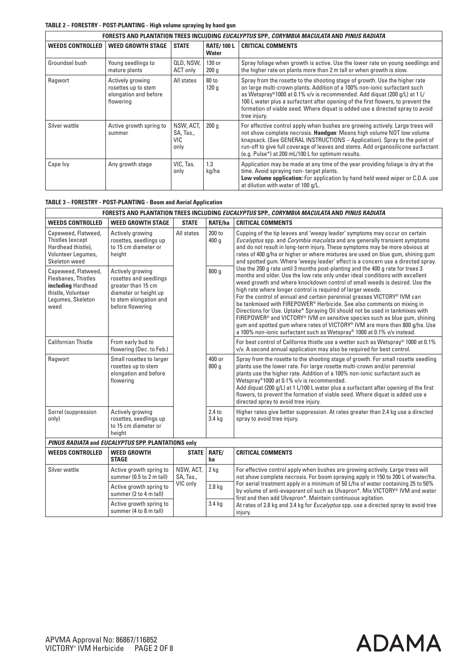# **TABLE 2 – FORESTRY - POST-PLANTING - High volume spraying by hand gun**

|                         | FORESTS AND PLANTATION TREES INCLUDING <i>Eucalyptus</i> SPP., <i>Corymbia Maculata</i> and <i>Pinus Radiata</i> |                                       |                                   |                                                                                                                                                                                                                                                                                                                                                                                                                            |  |  |
|-------------------------|------------------------------------------------------------------------------------------------------------------|---------------------------------------|-----------------------------------|----------------------------------------------------------------------------------------------------------------------------------------------------------------------------------------------------------------------------------------------------------------------------------------------------------------------------------------------------------------------------------------------------------------------------|--|--|
| <b>WEEDS CONTROLLED</b> | <b>WEED GROWTH STAGE</b>                                                                                         | <b>STATE</b>                          | <b>RATE/100 L</b><br><b>Water</b> | <b>CRITICAL COMMENTS</b>                                                                                                                                                                                                                                                                                                                                                                                                   |  |  |
| Groundsel bush          | Young seedlings to<br>mature plants                                                                              | QLD, NSW,<br>ACT only                 | 130 or<br>200q                    | Spray foliage when growth is active. Use the lower rate on young seedlings and<br>the higher rate on plants more than 2 m tall or when growth is slow.                                                                                                                                                                                                                                                                     |  |  |
| Ragwort                 | Actively growing<br>rosettes up to stem<br>elongation and before<br>flowering                                    | All states                            | 80 to<br>120q                     | Spray from the rosette to the shooting stage of growth. Use the higher rate<br>on large multi-crown plants. Addition of a 100% non-ionic surfactant such<br>as Wetspray®1000 at 0.1% v/v is recommended. Add diquat (200 q/L) at 1 L/<br>100 L water plus a surfactant after opening of the first flowers, to prevent the<br>formation of viable seed. Where diquat is added use a directed spray to avoid<br>tree injury. |  |  |
| Silver wattle           | Active growth spring to<br>summer                                                                                | NSW, ACT,<br>SA, Tas.,<br>VIC<br>only | 200q                              | For effective control apply when bushes are growing actively. Large trees will<br>not show complete necrosis. <b>Handgun:</b> Means high volume NOT low volume<br>knapsack. (See GENERAL INSTRUCTIONS - Application). Spray to the point of<br>run-off to give full coverage of leaves and stems. Add organosilicone surfactant<br>(e.g. Pulse*) at 200 mL/100 L for optimum results.                                      |  |  |
| Cape Ivy                | Any growth stage                                                                                                 | VIC, Tas.<br>only                     | 1.3<br>kg/ha                      | Application may be made at any time of the year providing foliage is dry at the<br>time. Avoid spraying non-target plants.<br>Low volume application: For application by hand held weed wiper or C.D.A. use<br>at dilution with water of 100 g/L.                                                                                                                                                                          |  |  |

| <b>TABLE 3 - FORESTRY - POST-PLANTING - Boom and Aerial Application</b> |  |  |  |
|-------------------------------------------------------------------------|--|--|--|
|-------------------------------------------------------------------------|--|--|--|

|                                                                                                                            | FORESTS AND PLANTATION TREES INCLUDING EUCALYPTUS SPP., CORYMBIA MACULATA AND PINUS RADIATA                                             |                        |                             |                                                                                                                                                                                                                                                                                                                                                                                                                                                                                                                                                                                                                                                                                                                                                                                                                                             |  |  |
|----------------------------------------------------------------------------------------------------------------------------|-----------------------------------------------------------------------------------------------------------------------------------------|------------------------|-----------------------------|---------------------------------------------------------------------------------------------------------------------------------------------------------------------------------------------------------------------------------------------------------------------------------------------------------------------------------------------------------------------------------------------------------------------------------------------------------------------------------------------------------------------------------------------------------------------------------------------------------------------------------------------------------------------------------------------------------------------------------------------------------------------------------------------------------------------------------------------|--|--|
| <b>WEEDS CONTROLLED</b>                                                                                                    | <b>WEED GROWTH STAGE</b>                                                                                                                | <b>STATE</b>           | RATE/ha                     | <b>CRITICAL COMMENTS</b>                                                                                                                                                                                                                                                                                                                                                                                                                                                                                                                                                                                                                                                                                                                                                                                                                    |  |  |
| Capeweed, Flatweed,<br>Thistles (except<br>Hardhead thistle),<br>Volunteer Lequmes,<br>Skeleton weed                       | Actively growing<br>rosettes, seedlings up<br>to 15 cm diameter or<br>height                                                            | All states             | 200 to<br>400q              | Cupping of the tip leaves and 'weepy leader' symptoms may occur on certain<br>Eucalyptus spp. and Corymbia maculata and are generally transient symptoms<br>and do not result in long-term injury. These symptoms may be more obvious at<br>rates of 400 g/ha or higher or where mixtures are used on blue gum, shining gum<br>and spotted gum. Where 'weepy leader' effect is a concern use a directed spray.                                                                                                                                                                                                                                                                                                                                                                                                                              |  |  |
| Capeweed, Flatweed,<br><b>Fleabanes, Thistles</b><br>including Hardhead<br>thistle, Volunteer<br>Lequmes, Skeleton<br>weed | Actively growing<br>rosettes and seedlings<br>greater than 15 cm<br>diameter or height up<br>to stem elongation and<br>before flowering |                        | 800q                        | Use the 200 g rate until 3 months post-planting and the 400 g rate for trees 3<br>months and older. Use the low rate only under ideal conditions with excellent<br>weed growth and where knockdown control of small weeds is desired. Use the<br>high rate where longer control is required of larger weeds.<br>For the control of annual and certain perennial grasses VICTORY <sup>®</sup> IVM can<br>be tankmixed with FIREPOWER <sup>®</sup> Herbicide. See also comments on mixing in<br>Directions for Use. Uptake* Spraying Oil should not be used in tankmixes with<br>FIREPOWER <sup>®</sup> and VICTORY <sup>®</sup> IVM on sensitive species such as blue gum, shining<br>gum and spotted gum where rates of VICTORY® IVM are more than 800 g/ha. Use<br>a 100% non-ionic surfactant such as Wetspray® 1000 at 0.1% v/v instead. |  |  |
| <b>Californian Thistle</b>                                                                                                 | From early bud to<br>flowering (Dec. to Feb.)                                                                                           |                        |                             | For best control of California thistle use a wetter such as Wetspray® 1000 at 0.1%<br>v/v. A second annual application may also be required for best control.                                                                                                                                                                                                                                                                                                                                                                                                                                                                                                                                                                                                                                                                               |  |  |
| Ragwort                                                                                                                    | Small rosettes to larger<br>rosettes up to stem<br>elongation and before<br>flowering                                                   |                        | 400 or<br>800 <sub>g</sub>  | Spray from the rosette to the shooting stage of growth. For small rosette seedling<br>plants use the lower rate. For large rosette multi-crown and/or perennial<br>plants use the higher rate. Addition of a 100% non-ionic surfactant such as<br>Wetspray®1000 at 0.1% v/v is recommended.<br>Add diguat (200 g/L) at 1 L/100 L water plus a surfactant after opening of the first<br>flowers, to prevent the formation of viable seed. Where diquat is added use a<br>directed spray to avoid tree injury.                                                                                                                                                                                                                                                                                                                                |  |  |
| Sorrel (suppression<br>only)                                                                                               | Actively growing<br>rosettes, seedlings up<br>to 15 cm diameter or<br>height                                                            |                        | 2.4 <sub>to</sub><br>3.4 kg | Higher rates give better suppression. At rates greater than 2.4 kg use a directed<br>spray to avoid tree injury.                                                                                                                                                                                                                                                                                                                                                                                                                                                                                                                                                                                                                                                                                                                            |  |  |
|                                                                                                                            | PINUS RADIATA and EUCALYPTUS SPP. PLANTATIONS only                                                                                      |                        |                             |                                                                                                                                                                                                                                                                                                                                                                                                                                                                                                                                                                                                                                                                                                                                                                                                                                             |  |  |
| <b>WEEDS CONTROLLED</b>                                                                                                    | <b>WEED GROWTH</b><br><b>STAGE</b>                                                                                                      | <b>STATE</b>           | RATE/<br>ha                 | <b>CRITICAL COMMENTS</b>                                                                                                                                                                                                                                                                                                                                                                                                                                                                                                                                                                                                                                                                                                                                                                                                                    |  |  |
| Silver wattle                                                                                                              | Active growth spring to<br>summer (0.5 to 2 m tall)                                                                                     | NSW. ACT.<br>SA, Tas., | $2$ kg                      | For effective control apply when bushes are growing actively. Large trees will<br>not show complete necrosis. For boom spraying apply in 150 to 200 L of water/ha.                                                                                                                                                                                                                                                                                                                                                                                                                                                                                                                                                                                                                                                                          |  |  |
|                                                                                                                            | Active growth spring to<br>summer (2 to 4 m tall)                                                                                       | VIC only               | 2.8 <sub>kq</sub>           | For aerial treatment apply in a minimum of 50 L/ha of water containing 25 to 50%<br>by volume of anti-evaporant oil such as Ulvapron*. Mix VICTORY® IVM and water<br>first and then add Ulvapron*. Maintain continuous agitation.                                                                                                                                                                                                                                                                                                                                                                                                                                                                                                                                                                                                           |  |  |
|                                                                                                                            | Active growth spring to<br>summer (4 to 8 m tall)                                                                                       |                        | 3.4 kg                      | At rates of 2.8 kg and 3.4 kg for Eucalyptus spp. use a directed spray to avoid tree<br>injury.                                                                                                                                                                                                                                                                                                                                                                                                                                                                                                                                                                                                                                                                                                                                             |  |  |

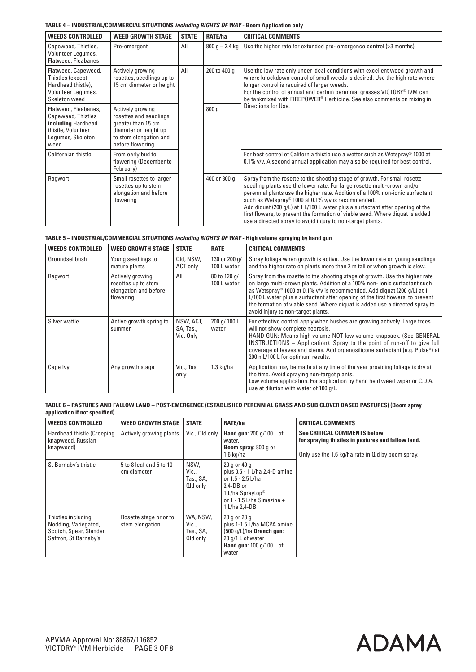## **TABLE 4 – INDUSTRIAL/COMMERCIAL SITUATIONS** *including RIGHTS OF WAY* **- Boom Application only**

| <b>WEEDS CONTROLLED</b>                                                                                             | <b>WEED GROWTH STAGE</b>                                                                                                                | <b>STATE</b> | RATE/ha          | <b>CRITICAL COMMENTS</b>                                                                                                                                                                                                                                                                                                                                                                                                                                                                                                      |
|---------------------------------------------------------------------------------------------------------------------|-----------------------------------------------------------------------------------------------------------------------------------------|--------------|------------------|-------------------------------------------------------------------------------------------------------------------------------------------------------------------------------------------------------------------------------------------------------------------------------------------------------------------------------------------------------------------------------------------------------------------------------------------------------------------------------------------------------------------------------|
| Capeweed, Thistles,<br>Volunteer Lequmes,<br><b>Flatweed, Fleabanes</b>                                             | Pre-emergent                                                                                                                            | All          | $800 g - 2.4 kg$ | Use the higher rate for extended pre-emergence control (>3 months)                                                                                                                                                                                                                                                                                                                                                                                                                                                            |
| Flatweed, Capeweed,<br>Thistles (except<br>Hardhead thistle),<br>Volunteer Legumes,<br>Skeleton weed                | Actively growing<br>rosettes, seedlings up to<br>15 cm diameter or height                                                               | All          | 200 to 400 g     | Use the low rate only under ideal conditions with excellent weed growth and<br>where knockdown control of small weeds is desired. Use the high rate where<br>longer control is required of larger weeds.<br>For the control of annual and certain perennial grasses VICTORY <sup>®</sup> IVM can<br>be tankmixed with FIREPOWER <sup>®</sup> Herbicide. See also comments on mixing in                                                                                                                                        |
| Flatweed, Fleabanes,<br>Capeweed, Thistles<br>including Hardhead<br>thistle, Volunteer<br>Legumes, Skeleton<br>weed | Actively growing<br>rosettes and seedlings<br>greater than 15 cm<br>diameter or height up<br>to stem elongation and<br>before flowering |              | 800 <sub>q</sub> | Directions for Use.                                                                                                                                                                                                                                                                                                                                                                                                                                                                                                           |
| Californian thistle                                                                                                 | From early bud to<br>flowering (December to<br>February)                                                                                |              |                  | For best control of California thistle use a wetter such as Wetspray <sup>®</sup> 1000 at<br>$0.1\%$ v/v. A second annual application may also be required for best control.                                                                                                                                                                                                                                                                                                                                                  |
| Ragwort                                                                                                             | Small rosettes to larger<br>rosettes up to stem<br>elongation and before<br>flowering                                                   |              | 400 or 800 q     | Spray from the rosette to the shooting stage of growth. For small rosette<br>seedling plants use the lower rate. For large rosette multi-crown and/or<br>perennial plants use the higher rate. Addition of a 100% non-ionic surfactant<br>such as Wetspray® 1000 at 0.1% v/v is recommended.<br>Add diquat (200 g/L) at 1 L/100 L water plus a surfactant after opening of the<br>first flowers, to prevent the formation of viable seed. Where diquat is added<br>use a directed spray to avoid injury to non-target plants. |

| TABLE 5 – INDUSTRIAL/COMMERCIAL SITUATIONS <i>including RIGHTS OF WAY</i> - High volume spraying by hand gun |  |  |  |
|--------------------------------------------------------------------------------------------------------------|--|--|--|
|                                                                                                              |  |  |  |

| <b>WEEDS CONTROLLED</b> | <b>WEED GROWTH STAGE</b>                                                      | <b>STATE</b>                        | <b>RATE</b>                  | <b>CRITICAL COMMENTS</b>                                                                                                                                                                                                                                                                                                                                                                                                                   |
|-------------------------|-------------------------------------------------------------------------------|-------------------------------------|------------------------------|--------------------------------------------------------------------------------------------------------------------------------------------------------------------------------------------------------------------------------------------------------------------------------------------------------------------------------------------------------------------------------------------------------------------------------------------|
| Groundsel bush          | Young seedlings to<br>mature plants                                           | Qld, NSW,<br>ACT only               | 130 or 200 a/<br>100 L water | Spray foliage when growth is active. Use the lower rate on young seedlings<br>and the higher rate on plants more than 2 m tall or when growth is slow.                                                                                                                                                                                                                                                                                     |
| Ragwort                 | Actively growing<br>rosettes up to stem<br>elongation and before<br>flowering | All                                 | 80 to 120 g/<br>100 L water  | Spray from the rosette to the shooting stage of growth. Use the higher rate<br>on large multi-crown plants. Addition of a 100% non-ionic surfactant such<br>as Wetspray® 1000 at 0.1% v/v is recommended. Add diquat (200 g/L) at 1<br>L/100 L water plus a surfactant after opening of the first flowers, to prevent<br>the formation of viable seed. Where diquat is added use a directed spray to<br>avoid injury to non-target plants. |
| Silver wattle           | Active growth spring to<br>summer                                             | NSW, ACT,<br>SA, Tas.,<br>Vic. Only | 200 g/ 100 L<br>water        | For effective control apply when bushes are growing actively. Large trees<br>will not show complete necrosis.<br>HAND GUN: Means high volume NOT low volume knapsack. (See GENERAL<br><b>INSTRUCTIONS</b> – Application). Spray to the point of run-off to give full<br>coverage of leaves and stems. Add organosilicone surfactant (e.g. Pulse*) at<br>200 mL/100 L for optimum results.                                                  |
| Cape Ivy                | Any growth stage                                                              | Vic., Tas.<br>only                  | 1.3 kg/ha                    | Application may be made at any time of the year providing foliage is dry at<br>the time. Avoid spraying non-target plants.<br>Low volume application. For application by hand held weed wiper or C.D.A.<br>use at dilution with water of 100 g/L.                                                                                                                                                                                          |

**TABLE 6 – PASTURES AND FALLOW LAND – POST-EMERGENCE (ESTABLISHED PERENNIAL GRASS AND SUB CLOVER BASED PASTURES) (Boom spray application if not specified)**

| <b>WEEDS CONTROLLED</b>                                                                         | <b>WEED GROWTH STAGE</b>                  | <b>STATE</b>                               | RATE/ha                                                                                                                                                           | <b>CRITICAL COMMENTS</b>                                                                                                                      |
|-------------------------------------------------------------------------------------------------|-------------------------------------------|--------------------------------------------|-------------------------------------------------------------------------------------------------------------------------------------------------------------------|-----------------------------------------------------------------------------------------------------------------------------------------------|
| Hardhead thistle (Creeping<br>knapweed, Russian<br>knapweed)                                    | Actively growing plants                   | Vic., Old only                             | <b>Hand gun: 200 g/100 L of</b><br>water.<br><b>Boom spray: 800 g or</b><br>$1.6$ kg/ha                                                                           | <b>See CRITICAL COMMENTS below</b><br>for spraying thistles in pastures and fallow land.<br>Only use the 1.6 kg/ha rate in Old by boom spray. |
| St Barnaby's thistle                                                                            | 5 to 8 leaf and 5 to 10<br>cm diameter    | NSW.<br>Vic.,<br>Tas., SA,<br>Qld only     | 20 g or 40 g<br>plus 0.5 - 1 L/ha 2,4-D amine<br>or 1.5 - 2.5 L/ha<br>$2.4$ -DB or<br>1 L/ha Spraytop <sup>®</sup><br>or 1 - 1.5 L/ha Simazine +<br>1 L/ha 2.4-DB |                                                                                                                                               |
| Thistles including:<br>Nodding, Variegated,<br>Scotch, Spear, Slender,<br>Saffron, St Barnaby's | Rosette stage prior to<br>stem elongation | WA, NSW.<br>Vic.,<br>Tas., SA,<br>Qld only | 20 g or 28 g<br>plus 1-1.5 L/ha MCPA amine<br>$(500q/L)/h$ a Drench qun:<br>20 g/1 L of water<br>Hand gun: 100 g/100 L of<br>water                                |                                                                                                                                               |

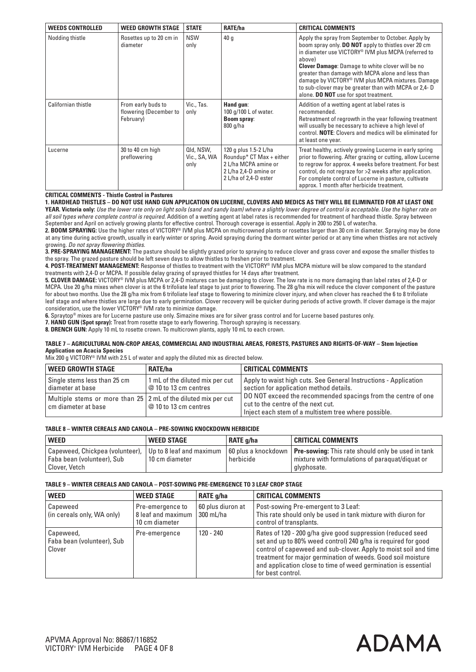| <b>WEEDS CONTROLLED</b> | <b>WEED GROWTH STAGE</b>                                  | <b>STATE</b>                      | <b>RATE/ha</b>                                                                                                                | <b>CRITICAL COMMENTS</b>                                                                                                                                                                                                                                                                                                                                                                                                                                              |
|-------------------------|-----------------------------------------------------------|-----------------------------------|-------------------------------------------------------------------------------------------------------------------------------|-----------------------------------------------------------------------------------------------------------------------------------------------------------------------------------------------------------------------------------------------------------------------------------------------------------------------------------------------------------------------------------------------------------------------------------------------------------------------|
| Nodding thistle         | Rosettes up to 20 cm in<br>diameter                       | <b>NSW</b><br>only                | 40q                                                                                                                           | Apply the spray from September to October. Apply by<br>boom spray only. <b>DO NOT</b> apply to thistles over 20 cm<br>in diameter use VICTORY <sup>®</sup> IVM plus MCPA (referred to<br>above)<br><b>Clover Damage:</b> Damage to white clover will be no<br>greater than damage with MCPA alone and less than<br>damage by VICTORY® IVM plus MCPA mixtures. Damage<br>to sub-clover may be greater than with MCPA or 2,4-D<br>alone. DO NOT use for spot treatment. |
| Californian thistle     | From early buds to<br>flowering (December to<br>February) | Vic., Tas.<br>only                | Hand gun:<br>100 g/100 L of water.<br><b>Boom spray:</b><br>800 g/ha                                                          | Addition of a wetting agent at label rates is<br>recommended.<br>Retreatment of regrowth in the year following treatment<br>will usually be necessary to achieve a high level of<br>control. <b>NOTE:</b> Clovers and medics will be eliminated for<br>at least one year.                                                                                                                                                                                             |
| Lucerne                 | 30 to 40 cm high<br>preflowering                          | Qld, NSW,<br>Vic., SA, WA<br>only | 120 g plus 1.5-2 L/ha<br>Roundup* $CT$ Max + either<br>2 L/ha MCPA amine or<br>2 L/ha 2,4-D amine or<br>2 L/ha of 2,4-D ester | Treat healthy, actively growing Lucerne in early spring<br>prior to flowering. After grazing or cutting, allow Lucerne<br>to regrow for approx. 4 weeks before treatment. For best<br>control, do not regraze for >2 weeks after application.<br>For complete control of Lucerne in pasture, cultivate<br>approx. 1 month after herbicide treatment.                                                                                                                  |

#### **CRITICAL COMMENTS - Thistle Control in Pastures**

**1. HARDHEAD THISTLES – DO NOT USE HAND GUN APPLICATION ON LUCERNE, CLOVERS AND MEDICS AS THEY WILL BE ELIMINATED FOR AT LEAST ONE** 

**YEAR. Victoria only:** *Use the lower rate only on light soils (sand and sandy loam) where a slightly lower degree of control is acceptable. Use the higher rate on*  all soil types where complete control is required. Addition of a wetting agent at label rates is recommended for treatment of hardhead thistle. Spray between September and April on actively growing plants for effective control. Thorough coverage is essential. Apply in 200 to 250 L of water/ha.

**2. BOOM SPRAYING:** Use the higher rates of VICTORY® IVM plus MCPA on multicrowned plants or rosettes larger than 30 cm in diameter. Spraying may be done at any time during active growth, usually in early winter or spring. Avoid spraying during the dormant winter period or at any time when thistles are not actively growing. *Do not spray flowering thistles.*

**3. PRE-SPRAYING MANAGEMENT:** The pasture should be slightly grazed prior to spraying to reduce clover and grass cover and expose the smaller thistles to the spray. The grazed pasture should be left seven days to allow thistles to freshen prior to treatment.

**4. POST-TREATMENT MANAGEMENT:** Response of thistles to treatment with the VICTORY® IVM plus MCPA mixture will be slow compared to the standard treatments with 2,4-D or MCPA. If possible delay grazing of sprayed thistles for 14 days after treatment.

**5. CLOVER DAMAGE:** VICTORY® IVM plus MCPA or 2,4-D mixtures can be damaging to clover. The low rate is no more damaging than label rates of 2,4-D or MCPA. Use 20 g/ha mixes when clover is at the 6 trifoliate leaf stage to just prior to flowering. The 28 g/ha mix will reduce the clover component of the pasture for about two months. Use the 28 g/ha mix from 6 trifoliate leaf stage to flowering to minimize clover injury, and when clover has reached the 6 to 8 trifoliate leaf stage and where thistles are large due to early germination. Clover recovery will be quicker during periods of active growth. If clover damage is the major consideration, use the lower VICTORY® IVM rate to minimize damage.

**6.** Spraytop® mixes are for Lucerne pasture use only. Simazine mixes are for silver grass control and for Lucerne based pastures only.

**7. HAND GUN (Spot spray):** Treat from rosette stage to early flowering. Thorough spraying is necessary.

**8. DRENCH GUN:** Apply 10 mL to rosette crown. To multicrown plants, apply 10 mL to each crown.

#### **TABLE 7 – AGRICULTURAL NON-CROP AREAS, COMMERCIAL AND INDUSTRIAL AREAS, FORESTS, PASTURES AND RIGHTS-OF-WAY – Stem Injection Application on Acacia Species**

Mix 200 g VICTORY® IVM with 2.5 L of water and apply the diluted mix as directed below.

| <b>WEED GROWTH STAGE</b>                                                              | <b>RATE/ha</b>                                            | CRITICAL COMMENTS                                                                                                                                                   |  |
|---------------------------------------------------------------------------------------|-----------------------------------------------------------|---------------------------------------------------------------------------------------------------------------------------------------------------------------------|--|
| Single stems less than 25 cm<br>diameter at base                                      | 1 mL of the diluted mix per cut<br>$@10$ to 13 cm centres | Apply to waist high cuts. See General Instructions - Application<br>section for application method details.                                                         |  |
| Multiple stems or more than 25 2 mL of the diluted mix per cut<br>cm diameter at base | $\mid$ @ 10 to 13 cm centres                              | DO NOT exceed the recommended spacings from the centre of one<br>$\vert$ cut to the centre of the next cut.<br>Inject each stem of a multistem tree where possible. |  |

#### **TABLE 8 – WINTER CEREALS AND CANOLA – PRE-SOWING KNOCKDOWN HERBICIDE**

| <b>WEED</b>                                                                              | <b>WEED STAGE</b> | <b>RATE g/ha</b> | <b>CRITICAL COMMENTS</b>                                                                                                            |
|------------------------------------------------------------------------------------------|-------------------|------------------|-------------------------------------------------------------------------------------------------------------------------------------|
| Capeweed, Chickpea (volunteer), Up to 8 leaf and maximum<br>' Faba bean (volunteer), Sub | l 10 cm diameter  | herbicide        | 60 plus a knockdown   <b>Pre-sowing:</b> This rate should only be used in tank<br>l mixture with formulations of paraquat/diquat or |
| Clover, Vetch                                                                            |                   |                  | glyphosate.                                                                                                                         |

#### **TABLE 9 – WINTER CEREALS AND CANOLA – POST-SOWING PRE-EMERGENCE TO 3 LEAF CROP STAGE**

| <b>WEED</b>                                       | <b>WEED STAGE</b>                                        | RATE g/ha                      | <b>CRITICAL COMMENTS</b>                                                                                                                                                                                                                                                                                                                                |
|---------------------------------------------------|----------------------------------------------------------|--------------------------------|---------------------------------------------------------------------------------------------------------------------------------------------------------------------------------------------------------------------------------------------------------------------------------------------------------------------------------------------------------|
| Capeweed<br>(in cereals only, WA only)            | Pre-emergence to<br>8 leaf and maximum<br>10 cm diameter | 60 plus diuron at<br>300 mL/ha | Post-sowing Pre-emergent to 3 Leaf:<br>This rate should only be used in tank mixture with diuron for<br>control of transplants.                                                                                                                                                                                                                         |
| Capeweed,<br>Faba bean (volunteer), Sub<br>Clover | Pre-emergence                                            | 120 - 240                      | Rates of 120 - 200 g/ha give good suppression (reduced seed<br>set and up to 80% weed control) 240 g/ha is required for good<br>control of capeweed and sub-clover. Apply to moist soil and time<br>treatment for major germination of weeds. Good soil moisture<br>and application close to time of weed germination is essential<br>for best control. |

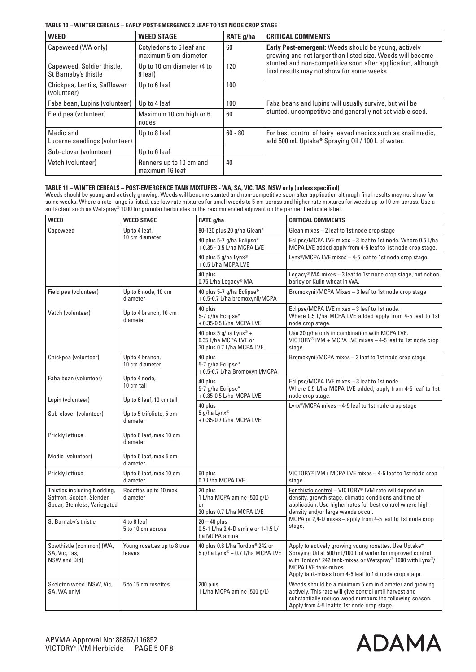## **TABLE 10 – WINTER CEREALS – EARLY POST-EMERGENCE 2 LEAF TO 1ST NODE CROP STAGE**

| <b>WEED</b>                                        | <b>WEED STAGE</b>                                 | RATE g/ha | <b>CRITICAL COMMENTS</b>                                                                                                  |
|----------------------------------------------------|---------------------------------------------------|-----------|---------------------------------------------------------------------------------------------------------------------------|
| Capeweed (WA only)                                 | Cotyledons to 6 leaf and<br>maximum 5 cm diameter | 60        | <b>Early Post-emergent:</b> Weeds should be young, actively<br>growing and not larger than listed size. Weeds will become |
| Capeweed, Soldier thistle,<br>St Barnaby's thistle | Up to 10 cm diameter (4 to<br>8 leaf)             | 120       | stunted and non-competitive soon after application, although<br>final results may not show for some weeks.                |
| Chickpea, Lentils, Safflower<br>(volunteer)        | Up to 6 leaf                                      | 100       |                                                                                                                           |
| Faba bean, Lupins (volunteer)                      | Up to 4 leaf                                      | 100       | Faba beans and lupins will usually survive, but will be                                                                   |
| Field pea (volunteer)                              | Maximum 10 cm high or 6<br>nodes                  | 60        | stunted, uncompetitive and generally not set viable seed.                                                                 |
| Medic and<br>Lucerne seedlings (volunteer)         | Up to 8 leaf                                      | $60 - 80$ | For best control of hairy leaved medics such as snail medic,<br>add 500 mL Uptake* Spraying Oil / 100 L of water.         |
| Sub-clover (volunteer)                             | Up to 6 leaf                                      |           |                                                                                                                           |
| Vetch (volunteer)                                  | Runners up to 10 cm and<br>maximum 16 leaf        | 40        |                                                                                                                           |

## **TABLE 11 – WINTER CEREALS – POST-EMERGENCE TANK MIXTURES - WA, SA, VIC, TAS, NSW only (unless specified)**

Weeds should be young and actively growing. Weeds will become stunted and non-competitive soon after application although final results may not show for some weeks. Where a rate range is listed, use low rate mixtures for small weeds to 5 cm across and higher rate mixtures for weeds up to 10 cm across. Use a surfactant such as Wetspray® 1000 for granular herbicides or the recommended adjuvant on the partner herbicide label.

| <b>WEED</b>                                                                             | <b>WEED STAGE</b>                     | RATE g/ha                                                                                | <b>CRITICAL COMMENTS</b>                                                                                                                                                                                                                                                  |  |
|-----------------------------------------------------------------------------------------|---------------------------------------|------------------------------------------------------------------------------------------|---------------------------------------------------------------------------------------------------------------------------------------------------------------------------------------------------------------------------------------------------------------------------|--|
| Capeweed                                                                                | Up to 4 leaf,                         | 80-120 plus 20 g/ha Glean*                                                               | Glean mixes - 2 leaf to 1st node crop stage                                                                                                                                                                                                                               |  |
|                                                                                         | 10 cm diameter                        | 40 plus 5-7 g/ha Eclipse*<br>+ 0.35 - 0.5 L/ha MCPA LVE                                  | Eclipse/MCPA LVE mixes - 3 leaf to 1st node. Where 0.5 L/ha<br>MCPA LVE added apply from 4-5 leaf to 1st node crop stage.                                                                                                                                                 |  |
|                                                                                         |                                       | 40 plus 5 g/ha Lynx®<br>+ 0.5 L/ha MCPA LVE                                              | Lynx <sup>®</sup> /MCPA LVE mixes $-$ 4-5 leaf to 1st node crop stage.                                                                                                                                                                                                    |  |
|                                                                                         |                                       | 40 plus<br>0.75 L/ha Legacy® MA                                                          | Legacy <sup>®</sup> MA mixes $-3$ leaf to 1st node crop stage, but not on<br>barley or Kulin wheat in WA.                                                                                                                                                                 |  |
| Field pea (volunteer)                                                                   | Up to 6 node, 10 cm<br>diameter       | 40 plus 5-7 g/ha Eclipse*<br>+0.5-0.7 L/ha bromoxynil/MCPA                               | Bromoxynil/MCPA Mixes - 3 leaf to 1st node crop stage                                                                                                                                                                                                                     |  |
| Vetch (volunteer)                                                                       | Up to 4 branch, 10 cm<br>diameter     | 40 plus<br>5-7 g/ha Eclipse*<br>$+$ 0.35-0.5 L/ha MCPA LVE                               | Eclipse/MCPA LVE mixes - 3 leaf to 1st node.<br>Where 0.5 L/ha MCPA LVE added apply from 4-5 leaf to 1st<br>node crop stage.                                                                                                                                              |  |
|                                                                                         |                                       | 40 plus 5 g/ha Lynx <sup>®</sup> +<br>0.35 L/ha MCPA LVE or<br>30 plus 0.7 L/ha MCPA LVE | Use 30 g/ha only in combination with MCPA LVE.<br>VICTORY <sup>®</sup> IVM + MCPA LVE mixes $-$ 4-5 leaf to 1st node crop<br>stage                                                                                                                                        |  |
| Chickpea (volunteer)                                                                    | Up to 4 branch,<br>10 cm diameter     | 40 plus<br>5-7 g/ha Eclipse*<br>+0.5-0.7 L/ha Bromoxynil/MCPA                            | Bromoxynil/MCPA mixes - 3 leaf to 1st node crop stage                                                                                                                                                                                                                     |  |
| Faba bean (volunteer)                                                                   | Up to 4 node,<br>10 cm tall           | 40 plus<br>5-7 g/ha Eclipse*<br>+ 0.35-0.5 L/ha MCPA LVE                                 | Eclipse/MCPA LVE mixes - 3 leaf to 1st node.<br>Where 0.5 L/ha MCPA LVE added, apply from 4-5 leaf to 1st<br>node crop stage.                                                                                                                                             |  |
| Lupin (volunteer)                                                                       | Up to 6 leaf, 10 cm tall              | 40 plus                                                                                  | $Lynx^{\circledcirc}/MCPA$ mixes $-4-5$ leaf to 1st node crop stage                                                                                                                                                                                                       |  |
| Sub-clover (volunteer)                                                                  | Up to 5 trifoliate, 5 cm<br>diameter  | 5 g/ha Lynx®<br>+ 0.35-0.7 L/ha MCPA LVE                                                 |                                                                                                                                                                                                                                                                           |  |
| Prickly lettuce                                                                         | Up to 6 leaf, max 10 cm<br>diameter   |                                                                                          |                                                                                                                                                                                                                                                                           |  |
| Medic (volunteer)                                                                       | Up to 6 leaf, max 5 cm<br>diameter    |                                                                                          |                                                                                                                                                                                                                                                                           |  |
| Prickly lettuce                                                                         | Up to 6 leaf, max 10 cm<br>diameter   | 60 plus<br>0.7 L/ha MCPA LVE                                                             | VICTORY <sup>®</sup> IVM+ MCPA LVE mixes $-$ 4-5 leaf to 1st node crop<br>stage                                                                                                                                                                                           |  |
| Thistles including Nodding,<br>Saffron, Scotch, Slender,<br>Spear, Stemless, Variegated | Rosettes up to 10 max<br>diameter     | 20 plus<br>1 L/ha MCPA amine (500 g/L)<br>or<br>20 plus 0.7 L/ha MCPA LVE                | For thistle control - VICTORY <sup>®</sup> IVM rate will depend on<br>density, growth stage, climatic conditions and time of<br>application. Use higher rates for best control where high<br>density and/or large weeds occur.                                            |  |
| St Barnaby's thistle                                                                    | 4 to 8 leaf<br>5 to 10 cm across      | $20 - 40$ plus<br>0.5-1 L/ha 2,4-D amine or 1-1.5 L/<br>ha MCPA amine                    | MCPA or 2,4-D mixes - apply from 4-5 leaf to 1st node crop<br>stage.                                                                                                                                                                                                      |  |
| Sowthistle (common) (WA,<br>SA, Vic, Tas,<br>NSW and Qld)                               | Young rosettes up to 8 true<br>leaves | 40 plus 0.8 L/ha Tordon* 242 or<br>5 g/ha Lynx® + 0.7 L/ha MCPA LVE                      | Apply to actively growing young rosettes. Use Uptake*<br>Spraying Oil at 500 mL/100 L of water for improved control<br>with Tordon* 242 tank-mixes or Wetspray® 1000 with Lynx®/<br><b>MCPA LVE tank-mixes.</b><br>Apply tank-mixes from 4-5 leaf to 1st node crop stage. |  |
| Skeleton weed (NSW, Vic,<br>SA, WA only)                                                | 5 to 15 cm rosettes                   | 200 plus<br>1 L/ha MCPA amine (500 g/L)                                                  | Weeds should be a minimum 5 cm in diameter and growing<br>actively. This rate will give control until harvest and<br>substantially reduce weed numbers the following season.<br>Apply from 4-5 leaf to 1st node crop stage.                                               |  |

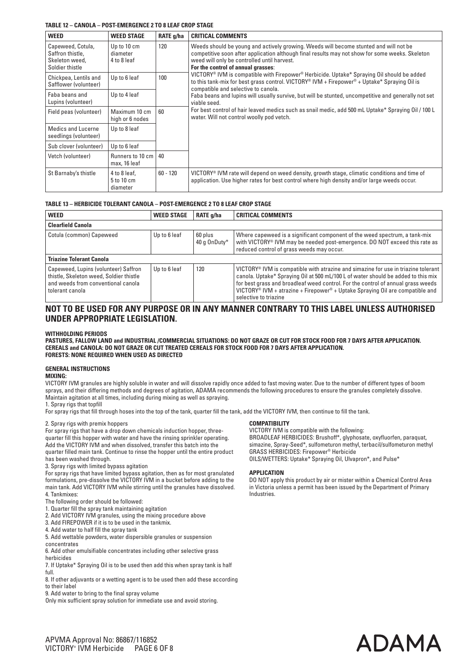#### **TABLE 12 – CANOLA – POST-EMERGENCE 2 TO 8 LEAF CROP STAGE**

| <b>WEED</b>                                                                | <b>WEED STAGE</b>                      | RATE g/ha  | <b>CRITICAL COMMENTS</b>                                                                                                                                                                                                                                                          |
|----------------------------------------------------------------------------|----------------------------------------|------------|-----------------------------------------------------------------------------------------------------------------------------------------------------------------------------------------------------------------------------------------------------------------------------------|
| Capeweed, Cotula,<br>Saffron thistle,<br>Skeleton weed,<br>Soldier thistle | Up to 10 cm<br>diameter<br>4 to 8 leaf | 120        | Weeds should be young and actively growing. Weeds will become stunted and will not be<br>competitive soon after application although final results may not show for some weeks. Skeleton<br>weed will only be controlled until harvest.<br>For the control of annual grasses:     |
| Chickpea, Lentils and<br>Safflower (volunteer)                             | Up to 6 leaf                           | 100        | VICTORY <sup>®</sup> IVM is compatible with Firepower <sup>®</sup> Herbicide. Uptake* Spraying Oil should be added<br>to this tank-mix for best grass control. VICTORY <sup>®</sup> IVM + Firepower <sup>®</sup> + Uptake* Spraying Oil is<br>compatible and selective to canola. |
| Faba beans and<br>Lupins (volunteer)                                       | Up to 4 leaf                           |            | Faba beans and lupins will usually survive, but will be stunted, uncompetitive and generally not set<br>viable seed.                                                                                                                                                              |
| Field peas (volunteer)                                                     | Maximum 10 cm<br>high or 6 nodes       | 60         | For best control of hair leaved medics such as snail medic, add 500 mL Uptake* Spraying Oil / 100 L<br>water. Will not control woolly pod vetch.                                                                                                                                  |
| Medics and Lucerne<br>seedlings (volunteer)                                | Up to 8 leaf                           |            |                                                                                                                                                                                                                                                                                   |
| Sub clover (volunteer)                                                     | Up to 6 leaf                           |            |                                                                                                                                                                                                                                                                                   |
| Vetch (volunteer)                                                          | Runners to 10 cm<br>max, 16 leaf       | 40         |                                                                                                                                                                                                                                                                                   |
| St Barnaby's thistle                                                       | 4 to 8 leaf.<br>5 to 10 cm<br>diameter | $60 - 120$ | $VICTORY^® IVM rate will depend on weed density, growth stage, climatic conditions and time ofapplication. Use higher rates for best control where high density and/or large weeds occur.$                                                                                        |

#### **TABLE 13 – HERBICIDE TOLERANT CANOLA – POST-EMERGENCE 2 TO 8 LEAF CROP STAGE**

| <b>WEED</b>                                                                                                                              | <b>WEED STAGE</b> | RATE g/ha               | <b>CRITICAL COMMENTS</b>                                                                                                                                                                                                                                                                                                                                                                                  |
|------------------------------------------------------------------------------------------------------------------------------------------|-------------------|-------------------------|-----------------------------------------------------------------------------------------------------------------------------------------------------------------------------------------------------------------------------------------------------------------------------------------------------------------------------------------------------------------------------------------------------------|
| <b>Clearfield Canola</b>                                                                                                                 |                   |                         |                                                                                                                                                                                                                                                                                                                                                                                                           |
| Cotula (common) Capeweed                                                                                                                 | Up to 6 leaf      | 60 plus<br>40 g OnDuty* | Where capeweed is a significant component of the weed spectrum, a tank-mix<br>with VICTORY <sup>®</sup> IVM may be needed post-emergence. DO NOT exceed this rate as<br>reduced control of grass weeds may occur.                                                                                                                                                                                         |
| <b>Triazine Tolerant Canola</b>                                                                                                          |                   |                         |                                                                                                                                                                                                                                                                                                                                                                                                           |
| Capeweed, Lupins (volunteer) Saffron<br>thistle, Skeleton weed, Soldier thistle<br>and weeds from conventional canola<br>tolerant canola | Up to 6 leaf      | 120                     | VICTORY <sup>®</sup> IVM is compatible with atrazine and simazine for use in triazine tolerant<br>canola. Uptake* Spraying Oil at 500 mL/100 L of water should be added to this mix<br>for best grass and broadleaf weed control. For the control of annual grass weeds<br>VICTORY <sup>®</sup> IVM + atrazine + Firepower <sup>®</sup> + Uptake Spraying Oil are compatible and<br>selective to triazine |

# **NOT TO BE USED FOR ANY PURPOSE OR IN ANY MANNER CONTRARY TO THIS LABEL UNLESS AUTHORISED UNDER APPROPRIATE LEGISLATION.**

#### **WITHHOLDING PERIODS**

**PASTURES, FALLOW LAND and INDUSTRIAL /COMMERCIAL SITUATIONS: DO NOT GRAZE OR CUT FOR STOCK FOOD FOR 7 DAYS AFTER APPLICATION. CEREALS and CANOLA: DO NOT GRAZE OR CUT TREATED CEREALS FOR STOCK FOOD FOR 7 DAYS AFTER APPLICATION. FORESTS: NONE REQUIRED WHEN USED AS DIRECTED**

#### **GENERAL INSTRUCTIONS**

#### **MIXING:**

VICTORY IVM granules are highly soluble in water and will dissolve rapidly once added to fast moving water. Due to the number of different types of boom sprays, and their differing methods and degrees of agitation, ADAMA recommends the following procedures to ensure the granules completely dissolve. Maintain agitation at all times, including during mixing as well as spraying.

1. Spray rigs that topfill

For spray rigs that fill through hoses into the top of the tank, quarter fill the tank, add the VICTORY IVM, then continue to fill the tank.

#### 2. Spray rigs with premix hoppers

For spray rigs that have a drop down chemicals induction hopper, threequarter fill this hopper with water and have the rinsing sprinkler operating. Add the VICTORY IVM and when dissolved, transfer this batch into the quarter filled main tank. Continue to rinse the hopper until the entire product has been washed through.

3. Spray rigs with limited bypass agitation

For spray rigs that have limited bypass agitation, then as for most granulated formulations, pre-dissolve the VICTORY IVM in a bucket before adding to the main tank. Add VICTORY IVM while stirring until the granules have dissolved. 4. Tankmixes:

The following order should be followed:

1. Quarter fill the spray tank maintaining agitation

2. Add VICTORY IVM granules, using the mixing procedure above

3. Add FIREPOWER if it is to be used in the tankmix.

4. Add water to half fill the spray tank

5. Add wettable powders, water dispersible granules or suspension concentrates

6. Add other emulsifiable concentrates including other selective grass herbicides

7. If Uptake\* Spraying Oil is to be used then add this when spray tank is half full.

8. If other adjuvants or a wetting agent is to be used then add these according to their label

9. Add water to bring to the final spray volume

Only mix sufficient spray solution for immediate use and avoid storing.

#### **COMPATIBILITY**

VICTORY IVM is compatible with the following: BROADLEAF HERBICIDES: Brushoff\*, glyphosate, oxyfluorfen, paraquat, simazine, Spray-Seed\*, sulfometuron methyl, terbacil/sulfometuron methyl GRASS HERBICIDES: Firepower® Herbicide OILS/WETTERS: Uptake\* Spraying Oil, Ulvapron\*, and Pulse\*

#### **APPLICATION**

DO NOT apply this product by air or mister within a Chemical Control Area in Victoria unless a permit has been issued by the Department of Primary Industries.

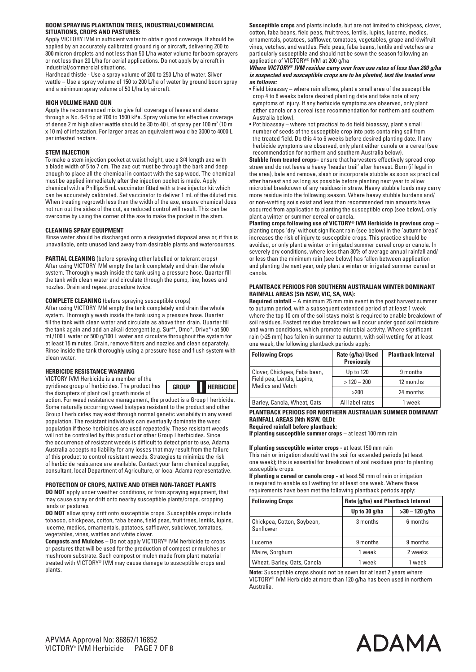#### **BOOM SPRAYING PLANTATION TREES, INDUSTRIAL/COMMERCIAL SITUATIONS, CROPS AND PASTURES:**

Apply VICTORY IVM in sufficient water to obtain good coverage. It should be applied by an accurately calibrated ground rig or aircraft, delivering 200 to 300 micron droplets and not less than 50 L/ha water volume for boom sprayers or not less than 20 L/ha for aerial applications. Do not apply by aircraft in industrial/commercial situations.

Hardhead thistle - Use a spray volume of 200 to 250 L/ha of water. Silver wattle – Use a spray volume of 150 to 200 L/ha of water by ground boom spray and a minimum spray volume of 50 L/ha by aircraft.

#### **HIGH VOLUME HAND GUN**

Apply the recommended mix to give full coverage of leaves and stems through a No. 6-8 tip at 700 to 1500 kPa. Spray volume for effective coverage of dense 2 m high silver wattle should be 30 to 40 L of spray per 100  $m^2$  (10 m x 10 m) of infestation. For larger areas an equivalent would be 3000 to 4000 L per infested hectare.

#### **STEM INJECTION**

To make a stem injection pocket at waist height, use a 3/4 length axe with a blade width of 5 to 7 cm. The axe cut must be through the bark and deep enough to place all the chemical in contact with the sap wood. The chemical must be applied immediately after the injection pocket is made. Apply chemical with a Phillips 5 mL vaccinator fitted with a tree injector kit which can be accurately calibrated. Set vaccinator to deliver 1 mL of the diluted mix. When treating regrowth less than the width of the axe, ensure chemical does not run out the sides of the cut, as reduced control will result. This can be overcome by using the corner of the axe to make the pocket in the stem.

#### **CLEANING SPRAY EQUIPMENT**

Rinse water should be discharged onto a designated disposal area or, if this is unavailable, onto unused land away from desirable plants and watercourses.

**PARTIAL CLEANING** (before spraying other labelled or tolerant crops) After using VICTORY IVM empty the tank completely and drain the whole system. Thoroughly wash inside the tank using a pressure hose. Quarter fill the tank with clean water and circulate through the pump, line, hoses and nozzles. Drain and repeat procedure twice.

**COMPLETE CLEANING** (before spraying susceptible crops)

After using VICTORY IVM empty the tank completely and drain the whole system. Thoroughly wash inside the tank using a pressure hose. Quarter fill the tank with clean water and circulate as above then drain. Quarter fill the tank again and add an alkali detergent (e.g. Surf\*, Omo\*, Drive\*) at 500 mL/100 L water or 500 g/100 L water and circulate throughout the system for at least 15 minutes. Drain, remove filters and nozzles and clean separately. Rinse inside the tank thoroughly using a pressure hose and flush system with clean water.

#### **HERBICIDE RESISTANCE WARNING**

VICTORY IVM Herbicide is a member of the pyridines group of herbicides. The product has the disrupters of plant cell growth mode of



action. For weed resistance management, the product is a Group I herbicide. Some naturally occurring weed biotypes resistant to the product and other Group I herbicides may exist through normal genetic variability in any weed population. The resistant individuals can eventually dominate the weed population if these herbicides are used repeatedly. These resistant weeds will not be controlled by this product or other Group I herbicides. Since the occurrence of resistant weeds is difficult to detect prior to use, Adama Australia accepts no liability for any losses that may result from the failure of this product to control resistant weeds. Strategies to minimize the risk of herbicide resistance are available. Contact your farm chemical supplier, consultant, local Department of Agriculture, or local Adama representative.

### **PROTECTION OF CROPS, NATIVE AND OTHER NON-TARGET PLANTS**

**DO NOT** apply under weather conditions, or from spraying equipment, that may cause spray or drift onto nearby susceptible plants/crops, cropping lands or pastures.

**DO NOT** allow spray drift onto susceptible crops. Susceptible crops include tobacco, chickpeas, cotton, faba beans, field peas, fruit trees, lentils, lupins, lucerne, medics, ornamentals, potatoes, safflower, subclover, tomatoes, vegetables, vines, wattles and white clover.

**Composts and Mulches –** Do not apply VICTORY® IVM herbicide to crops or pastures that will be used for the production of compost or mulches or mushroom substrate. Such compost or mulch made from plant material treated with VICTORY® IVM may cause damage to susceptible crops and plants.

**Susceptible crops** and plants include, but are not limited to chickpeas, clover, cotton, faba beans, field peas, fruit trees, lentils, lupins, lucerne, medics, ornamentals, potatoes, safflower, tomatoes, vegetables, grape and kiwifruit vines, vetches, and wattles. Field peas, faba beans, lentils and vetches are particularly susceptible and should not be sown the season following an application of VICTORY® IVM at 200 g/ha

#### *Where VICTORY® IVM residue carry over from use rates of less than 200 g/ha is suspected and susceptible crops are to be planted, test the treated area as follows:*

- Field bioassay where rain allows, plant a small area of the susceptible crop 4 to 6 weeks before desired planting date and take note of any symptoms of injury. If any herbicide symptoms are observed, only plant either canola or a cereal (see recommendation for northern and southern Australia below).
- Pot bioassay where not practical to do field bioassay, plant a small number of seeds of the susceptible crop into pots containing soil from the treated field. Do this 4 to 6 weeks before desired planting date. If any herbicide symptoms are observed, only plant either canola or a cereal (see recommendation for northern and southern Australia below).

**Stubble from treated crops–** ensure that harvesters effectively spread crop straw and do not leave a heavy 'header trail' after harvest. Burn (if legal in the area), bale and remove, slash or incorporate stubble as soon as practical after harvest and as long as possible before planting next year to allow microbial breakdown of any residues in straw. Heavy stubble loads may carry more residue into the following season. Where heavy stubble burdens and/ or non-wetting soils exist and less than recommended rain amounts have occurred from application to planting the susceptible crop (see below), only plant a winter or summer cereal or canola.

**Planting crops following use of VICTORY® IVM Herbicide in previous crop –**  planting crops 'dry' without significant rain (see below) in the 'autumn break' increases the risk of injury to susceptible crops. This practice should be avoided, or only plant a winter or irrigated summer cereal crop or canola. In severely dry conditions, where less than 30% of average annual rainfall and/ or less than the minimum rain (see below) has fallen between application and planting the next year, only plant a winter or irrigated summer cereal or canola.

#### **PLANTBACK PERIODS FOR SOUTHERN AUSTRALIAN WINTER DOMINANT RAINFALL AREAS (Sth NSW, VIC, SA, WA):**

**Required rainfall –** A minimum 25 mm rain event in the post harvest summer to autumn period, with a subsequent extended period of at least 1 week where the top 10 cm of the soil stays moist is required to enable breakdown of soil residues. Fastest residue breakdown will occur under good soil moisture and warm conditions, which promote microbial activity. Where significant rain (>25 mm) has fallen in summer to autumn, with soil wetting for at least one week, the following plantback periods apply:

| <b>Following Crops</b>                                 | Rate (g/ha) Used<br>Previously | <b>Plantback Interval</b> |
|--------------------------------------------------------|--------------------------------|---------------------------|
| Clover, Chickpea, Faba bean,                           | Up to 120                      | 9 months                  |
| Field pea, Lentils, Lupins,<br><b>Medics and Vetch</b> | $>120-200$                     | 12 months                 |
|                                                        | >200                           | 24 months                 |
| Barley, Canola, Wheat, Oats                            | All label rates                | 1 week                    |

#### **PLANTBACK PERIODS FOR NORTHERN AUSTRALIAN SUMMER DOMINANT RAINFALL AREAS (Nth NSW, QLD):**

**Required rainfall before plantback:**

**If planting susceptible summer crops –** at least 100 mm rain

#### **If planting susceptible winter crops -** at least 150 mm rain

This rain or irrigation should wet the soil for extended periods (at least one week); this is essential for breakdown of soil residues prior to planting susceptible crops.

**If planting a cereal or canola crop -** at least 50 mm of rain or irrigation is required to enable soil wetting for at least one week. Where these requirements have been met the following plantback periods apply:

| <b>Following Crops</b>                  |               | Rate (g/ha) and Plantback Interval |  |  |
|-----------------------------------------|---------------|------------------------------------|--|--|
|                                         | Up to 30 g/ha | $>30 - 120$ g/ha                   |  |  |
| Chickpea, Cotton, Soybean,<br>Sunflower | 3 months      | 6 months                           |  |  |
| Lucerne                                 | 9 months      | 9 months                           |  |  |
| Maize, Sorghum                          | 1 week        | 2 weeks                            |  |  |
| Wheat, Barley, Oats, Canola             | 1 week        | 1 week                             |  |  |

**Note:** Susceptible crops should not be sown for at least 2 years where VICTORY® IVM Herbicide at more than 120 g/ha has been used in northern Australia.